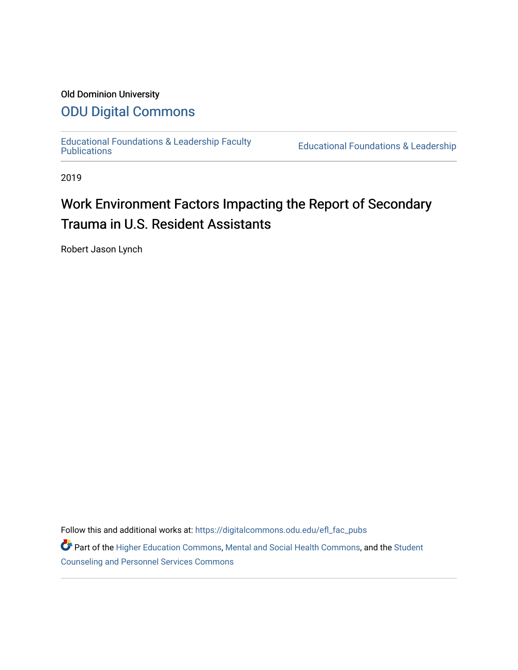# Old Dominion University

# [ODU Digital Commons](https://digitalcommons.odu.edu/)

[Educational Foundations & Leadership Faculty](https://digitalcommons.odu.edu/efl_fac_pubs)

**Educational Foundations & Leadership** 

2019

# Work Environment Factors Impacting the Report of Secondary Trauma in U.S. Resident Assistants

Robert Jason Lynch

Follow this and additional works at: [https://digitalcommons.odu.edu/efl\\_fac\\_pubs](https://digitalcommons.odu.edu/efl_fac_pubs?utm_source=digitalcommons.odu.edu%2Fefl_fac_pubs%2F59&utm_medium=PDF&utm_campaign=PDFCoverPages) 

Part of the [Higher Education Commons,](http://network.bepress.com/hgg/discipline/1245?utm_source=digitalcommons.odu.edu%2Fefl_fac_pubs%2F59&utm_medium=PDF&utm_campaign=PDFCoverPages) [Mental and Social Health Commons,](http://network.bepress.com/hgg/discipline/709?utm_source=digitalcommons.odu.edu%2Fefl_fac_pubs%2F59&utm_medium=PDF&utm_campaign=PDFCoverPages) and the [Student](http://network.bepress.com/hgg/discipline/802?utm_source=digitalcommons.odu.edu%2Fefl_fac_pubs%2F59&utm_medium=PDF&utm_campaign=PDFCoverPages) [Counseling and Personnel Services Commons](http://network.bepress.com/hgg/discipline/802?utm_source=digitalcommons.odu.edu%2Fefl_fac_pubs%2F59&utm_medium=PDF&utm_campaign=PDFCoverPages)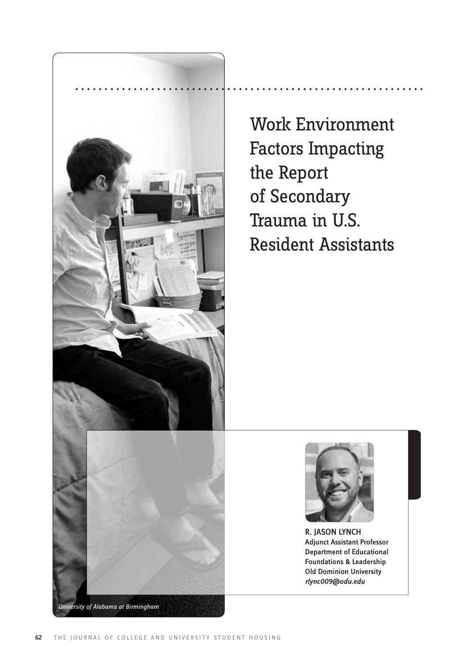

Work Environment Factors Impacting the Report of Secondary Trauma in U.S. Resident Assistants



R. JASON LYNCH Adjunct Assistant Professor Department of Educational Foundations & Leadership Old Dominion University *rlync009@odu.edu*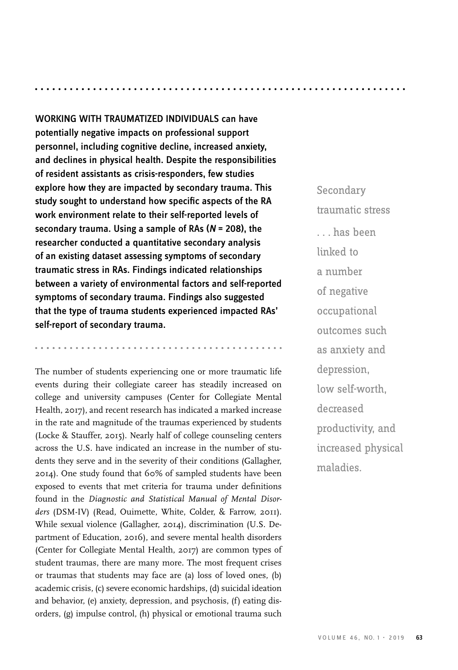WORKING WITH TRAUMATIZED INDIVIDUALS can have potentially negative impacts on professional support personnel, including cognitive decline, increased anxiety, and declines in physical health. Despite the responsibilities of resident assistants as crisis-responders, few studies explore how they are impacted by secondary trauma. This study sought to understand how specific aspects of the RA work environment relate to their self-reported levels of secondary trauma. Using a sample of RAs (*N* = 208), the researcher conducted a quantitative secondary analysis of an existing dataset assessing symptoms of secondary traumatic stress in RAs. Findings indicated relationships between a variety of environmental factors and self-reported symptoms of secondary trauma. Findings also suggested that the type of trauma students experienced impacted RAs' self-report of secondary trauma.

. . . . . . . . . .

The number of students experiencing one or more traumatic life events during their collegiate career has steadily increased on college and university campuses (Center for Collegiate Mental Health, 2017), and recent research has indicated a marked increase in the rate and magnitude of the traumas experienced by students (Locke & Stauffer, 2015). Nearly half of college counseling centers across the U.S. have indicated an increase in the number of students they serve and in the severity of their conditions (Gallagher, 2014). One study found that 60% of sampled students have been exposed to events that met criteria for trauma under definitions found in the *Diagnostic and Statistical Manual of Mental Disorders* (DSM-IV) (Read, Ouimette, White, Colder, & Farrow, 2011). While sexual violence (Gallagher, 2014), discrimination (U.S. Department of Education, 2016), and severe mental health disorders (Center for Collegiate Mental Health, 2017) are common types of student traumas, there are many more. The most frequent crises or traumas that students may face are (a) loss of loved ones, (b) academic crisis, (c) severe economic hardships, (d) suicidal ideation and behavior, (e) anxiety, depression, and psychosis, (f) eating disorders, (g) impulse control, (h) physical or emotional trauma such

Secondary traumatic stress . . . has been linked to a number of negative occupational outcomes such as anxiety and depression, low self-worth, decreased productivity, and increased physical maladies.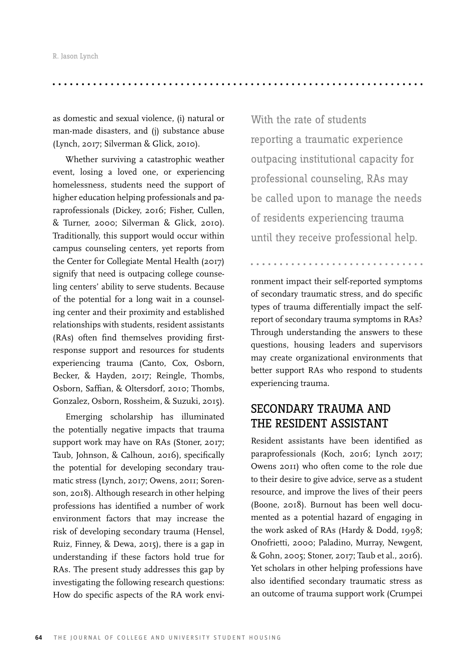as domestic and sexual violence, (i) natural or man-made disasters, and (j) substance abuse (Lynch, 2017; Silverman & Glick, 2010).

Whether surviving a catastrophic weather event, losing a loved one, or experiencing homelessness, students need the support of higher education helping professionals and paraprofessionals (Dickey, 2016; Fisher, Cullen, & Turner, 2000; Silverman & Glick, 2010). Traditionally, this support would occur within campus counseling centers, yet reports from the Center for Collegiate Mental Health (2017) signify that need is outpacing college counseling centers' ability to serve students. Because of the potential for a long wait in a counseling center and their proximity and established relationships with students, resident assistants (RAs) often find themselves providing firstresponse support and resources for students experiencing trauma (Canto, Cox, Osborn, Becker, & Hayden, 2017; Reingle, Thombs, Osborn, Saffian, & Oltersdorf, 2010; Thombs, Gonzalez, Osborn, Rossheim, & Suzuki, 2015).

Emerging scholarship has illuminated the potentially negative impacts that trauma support work may have on RAs (Stoner, 2017; Taub, Johnson, & Calhoun, 2016), specifically the potential for developing secondary traumatic stress (Lynch, 2017; Owens, 2011; Sorenson, 2018). Although research in other helping professions has identified a number of work environment factors that may increase the risk of developing secondary trauma (Hensel, Ruiz, Finney, & Dewa, 2015), there is a gap in understanding if these factors hold true for RAs. The present study addresses this gap by investigating the following research questions: How do specific aspects of the RA work envi-

With the rate of students reporting a traumatic experience outpacing institutional capacity for professional counseling, RAs may be called upon to manage the needs of residents experiencing trauma until they receive professional help.

ronment impact their self-reported symptoms of secondary traumatic stress, and do specific types of trauma differentially impact the selfreport of secondary trauma symptoms in RAs? Through understanding the answers to these questions, housing leaders and supervisors may create organizational environments that better support RAs who respond to students experiencing trauma.

# SECONDARY TRAUMA AND THE RESIDENT ASSISTANT

Resident assistants have been identified as paraprofessionals (Koch, 2016; Lynch 2017; Owens 2011) who often come to the role due to their desire to give advice, serve as a student resource, and improve the lives of their peers (Boone, 2018). Burnout has been well documented as a potential hazard of engaging in the work asked of RAs (Hardy & Dodd, 1998; Onofrietti, 2000; Paladino, Murray, Newgent, & Gohn, 2005; Stoner, 2017; Taub et al., 2016). Yet scholars in other helping professions have also identified secondary traumatic stress as an outcome of trauma support work (Crumpei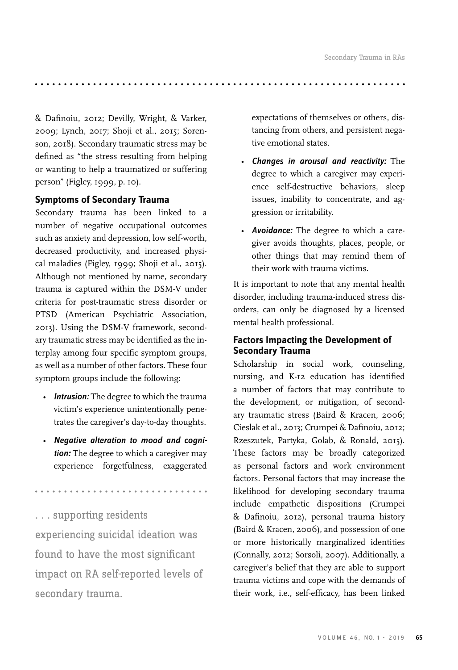& Dafinoiu, 2012; Devilly, Wright, & Varker, 2009; Lynch, 2017; Shoji et al., 2015; Sorenson, 2018). Secondary traumatic stress may be defined as "the stress resulting from helping or wanting to help a traumatized or suffering person" (Figley, 1999, p. 10).

#### **Symptoms of Secondary Trauma**

Secondary trauma has been linked to a number of negative occupational outcomes such as anxiety and depression, low self-worth, decreased productivity, and increased physical maladies (Figley, 1999; Shoji et al., 2015). Although not mentioned by name, secondary trauma is captured within the DSM-V under criteria for post-traumatic stress disorder or PTSD (American Psychiatric Association, 2013). Using the DSM-V framework, secondary traumatic stress may be identified as the interplay among four specific symptom groups, as well as a number of other factors. These four symptom groups include the following:

- *Intrusion:* The degree to which the trauma victim's experience unintentionally penetrates the caregiver's day-to-day thoughts.
- *Negative alteration to mood and cognition:* The degree to which a caregiver may experience forgetfulness, exaggerated

. . . supporting residents experiencing suicidal ideation was found to have the most significant impact on RA self-reported levels of secondary trauma.

expectations of themselves or others, distancing from others, and persistent negative emotional states.

- *Changes in arousal and reactivity:* The degree to which a caregiver may experience self-destructive behaviors, sleep issues, inability to concentrate, and aggression or irritability.
- *Avoidance:* The degree to which a caregiver avoids thoughts, places, people, or other things that may remind them of their work with trauma victims.

It is important to note that any mental health disorder, including trauma-induced stress disorders, can only be diagnosed by a licensed mental health professional.

### **Factors Impacting the Development of Secondary Trauma**

Scholarship in social work, counseling, nursing, and K-12 education has identified a number of factors that may contribute to the development, or mitigation, of secondary traumatic stress (Baird & Kracen, 2006; Cieslak et al., 2013; Crumpei & Dafinoiu, 2012; Rzeszutek, Partyka, Golab, & Ronald, 2015). These factors may be broadly categorized as personal factors and work environment factors. Personal factors that may increase the likelihood for developing secondary trauma include empathetic dispositions (Crumpei & Dafinoiu, 2012), personal trauma history (Baird & Kracen, 2006), and possession of one or more historically marginalized identities (Connally, 2012; Sorsoli, 2007). Additionally, a caregiver's belief that they are able to support trauma victims and cope with the demands of their work, i.e., self-efficacy, has been linked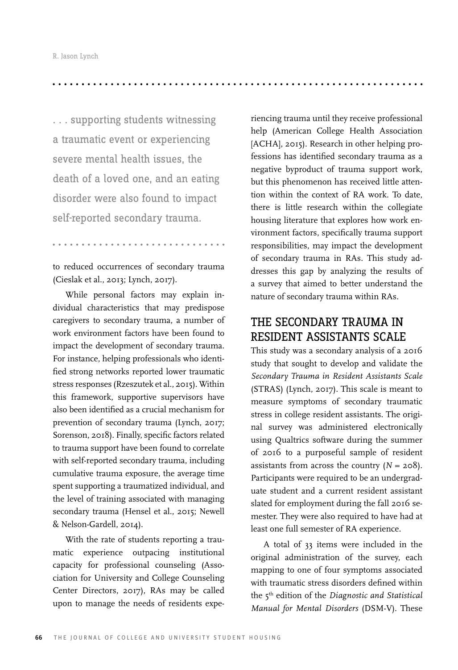. . . supporting students witnessing a traumatic event or experiencing severe mental health issues, the death of a loved one, and an eating disorder were also found to impact self-reported secondary trauma.

to reduced occurrences of secondary trauma (Cieslak et al., 2013; Lynch, 2017).

While personal factors may explain individual characteristics that may predispose caregivers to secondary trauma, a number of work environment factors have been found to impact the development of secondary trauma. For instance, helping professionals who identified strong networks reported lower traumatic stress responses (Rzeszutek et al., 2015). Within this framework, supportive supervisors have also been identified as a crucial mechanism for prevention of secondary trauma (Lynch, 2017; Sorenson, 2018). Finally, specific factors related to trauma support have been found to correlate with self-reported secondary trauma, including cumulative trauma exposure, the average time spent supporting a traumatized individual, and the level of training associated with managing secondary trauma (Hensel et al., 2015; Newell & Nelson-Gardell, 2014).

With the rate of students reporting a traumatic experience outpacing institutional capacity for professional counseling (Association for University and College Counseling Center Directors, 2017), RAs may be called upon to manage the needs of residents expe-

riencing trauma until they receive professional help (American College Health Association [ACHA], 2015). Research in other helping professions has identified secondary trauma as a negative byproduct of trauma support work, but this phenomenon has received little attention within the context of RA work. To date, there is little research within the collegiate housing literature that explores how work environment factors, specifically trauma support responsibilities, may impact the development of secondary trauma in RAs. This study addresses this gap by analyzing the results of a survey that aimed to better understand the nature of secondary trauma within RAs.

# THE SECONDARY TRAUMA IN RESIDENT ASSISTANTS SCALE

This study was a secondary analysis of a 2016 study that sought to develop and validate the *Secondary Trauma in Resident Assistants Scale*  (STRAS) (Lynch, 2017). This scale is meant to measure symptoms of secondary traumatic stress in college resident assistants. The original survey was administered electronically using Qualtrics software during the summer of 2016 to a purposeful sample of resident assistants from across the country  $(N = 208)$ . Participants were required to be an undergraduate student and a current resident assistant slated for employment during the fall 2016 semester. They were also required to have had at least one full semester of RA experience.

A total of 33 items were included in the original administration of the survey, each mapping to one of four symptoms associated with traumatic stress disorders defined within the 5th edition of the *Diagnostic and Statistical Manual for Mental Disorders* (DSM-V). These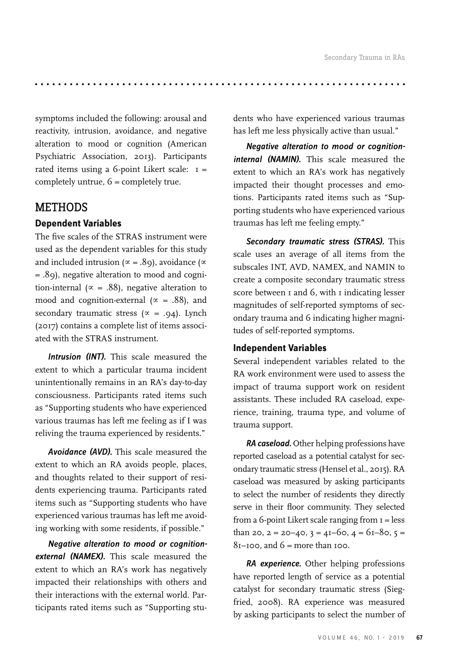symptoms included the following: arousal and reactivity, intrusion, avoidance, and negative alteration to mood or cognition (American Psychiatric Association, 2013). Participants rated items using a 6-point Likert scale:  $I =$ completely untrue, 6 = completely true.

# METHODS

# **Dependent Variables**

The five scales of the STRAS instrument were used as the dependent variables for this study and included intrusion ( $\propto$  = .89), avoidance ( $\propto$ = .89), negative alteration to mood and cognition-internal ( $\propto$  = .88), negative alteration to mood and cognition-external ( $\propto$  = .88), and secondary traumatic stress ( $\alpha$  = .94). Lynch (2017) contains a complete list of items associated with the STRAS instrument.

*Intrusion (INT).* This scale measured the extent to which a particular trauma incident unintentionally remains in an RA's day-to-day consciousness. Participants rated items such as "Supporting students who have experienced various traumas has left me feeling as if I was reliving the trauma experienced by residents."

*Avoidance (AVD).* This scale measured the extent to which an RA avoids people, places, and thoughts related to their support of residents experiencing trauma. Participants rated items such as "Supporting students who have experienced various traumas has left me avoiding working with some residents, if possible."

*Negative alteration to mood or cognitionexternal (NAMEX).* This scale measured the extent to which an RA's work has negatively impacted their relationships with others and their interactions with the external world. Participants rated items such as "Supporting students who have experienced various traumas has left me less physically active than usual."

*Negative alteration to mood or cognitioninternal (NAMIN).* This scale measured the extent to which an RA's work has negatively impacted their thought processes and emotions. Participants rated items such as "Supporting students who have experienced various traumas has left me feeling empty."

*Secondary traumatic stress (STRAS).* This scale uses an average of all items from the subscales INT, AVD, NAMEX, and NAMIN to create a composite secondary traumatic stress score between 1 and 6, with 1 indicating lesser magnitudes of self-reported symptoms of secondary trauma and 6 indicating higher magnitudes of self-reported symptoms.

#### **Independent Variables**

Several independent variables related to the RA work environment were used to assess the impact of trauma support work on resident assistants. These included RA caseload, experience, training, trauma type, and volume of trauma support.

*RA caseload.* Other helping professions have reported caseload as a potential catalyst for secondary traumatic stress (Hensel et al., 2015). RA caseload was measured by asking participants to select the number of residents they directly serve in their floor community. They selected from a 6-point Likert scale ranging from  $I =$  less than 20,  $2 = 20 - 40$ ,  $3 = 4I - 60$ ,  $4 = 6I - 80$ ,  $5 =$  $81-100$ , and  $6 =$  more than 100.

*RA experience.* Other helping professions have reported length of service as a potential catalyst for secondary traumatic stress (Siegfried, 2008). RA experience was measured by asking participants to select the number of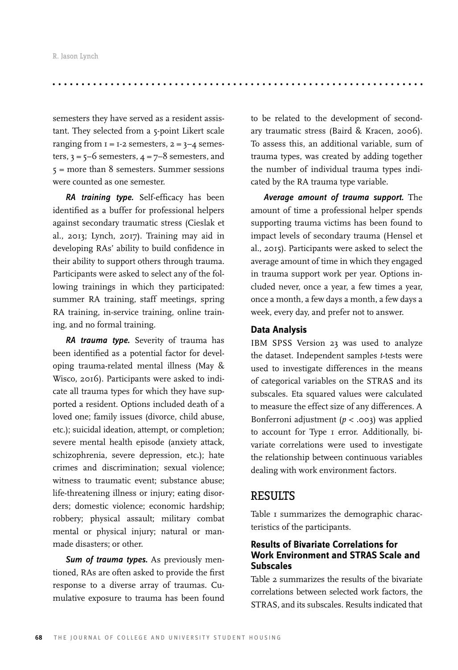semesters they have served as a resident assistant. They selected from a 5-point Likert scale ranging from  $I = I-2$  semesters,  $2 = 3-4$  semesters,  $3 = 5-6$  semesters,  $4 = 7-8$  semesters, and  $5 =$  more than 8 semesters. Summer sessions were counted as one semester.

*RA training type.* Self-efficacy has been identified as a buffer for professional helpers against secondary traumatic stress (Cieslak et al., 2013; Lynch, 2017). Training may aid in developing RAs' ability to build confidence in their ability to support others through trauma. Participants were asked to select any of the following trainings in which they participated: summer RA training, staff meetings, spring RA training, in-service training, online training, and no formal training.

*RA trauma type.* Severity of trauma has been identified as a potential factor for developing trauma-related mental illness (May & Wisco, 2016). Participants were asked to indicate all trauma types for which they have supported a resident. Options included death of a loved one; family issues (divorce, child abuse, etc.); suicidal ideation, attempt, or completion; severe mental health episode (anxiety attack, schizophrenia, severe depression, etc.); hate crimes and discrimination; sexual violence; witness to traumatic event; substance abuse; life-threatening illness or injury; eating disorders; domestic violence; economic hardship; robbery; physical assault; military combat mental or physical injury; natural or manmade disasters; or other.

*Sum of trauma types.* As previously mentioned, RAs are often asked to provide the first response to a diverse array of traumas. Cumulative exposure to trauma has been found

to be related to the development of secondary traumatic stress (Baird & Kracen, 2006). To assess this, an additional variable, sum of trauma types, was created by adding together the number of individual trauma types indicated by the RA trauma type variable.

*Average amount of trauma support.* The amount of time a professional helper spends supporting trauma victims has been found to impact levels of secondary trauma (Hensel et al., 2015). Participants were asked to select the average amount of time in which they engaged in trauma support work per year. Options included never, once a year, a few times a year, once a month, a few days a month, a few days a week, every day, and prefer not to answer.

#### **Data Analysis**

IBM SPSS Version 23 was used to analyze the dataset. Independent samples *t*-tests were used to investigate differences in the means of categorical variables on the STRAS and its subscales. Eta squared values were calculated to measure the effect size of any differences. A Bonferroni adjustment (*p* < .003) was applied to account for Type 1 error. Additionally, bivariate correlations were used to investigate the relationship between continuous variables dealing with work environment factors.

## **RESULTS**

Table I summarizes the demographic characteristics of the participants.

#### **Results of Bivariate Correlations for Work Environment and STRAS Scale and Subscales**

Table 2 summarizes the results of the bivariate correlations between selected work factors, the STRAS, and its subscales. Results indicated that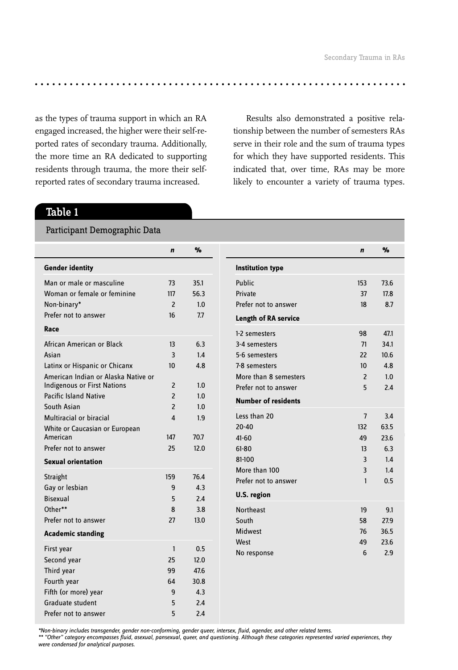as the types of trauma support in which an RA engaged increased, the higher were their self-reported rates of secondary trauma. Additionally, the more time an RA dedicated to supporting residents through trauma, the more their selfreported rates of secondary trauma increased.

Results also demonstrated a positive relationship between the number of semesters RAs serve in their role and the sum of trauma types for which they have supported residents. This indicated that, over time, RAs may be more likely to encounter a variety of trauma types.

# Table 1

Participant Demographic Data

|                                     | $\mathbf n$    | %    |                             |  |
|-------------------------------------|----------------|------|-----------------------------|--|
| <b>Gender identity</b>              |                |      | <b>Institution type</b>     |  |
| Man or male or masculine            | 73             | 35.1 | Public                      |  |
| Woman or female or feminine         | 117            | 56.3 | Private                     |  |
| Non-binary*                         | $\overline{2}$ | 1.0  | Prefer not to answer        |  |
| Prefer not to answer                | 16             | 7.7  | <b>Length of RA service</b> |  |
| Race                                |                |      | 1-2 semesters               |  |
| African American or Black           | 13             | 6.3  | 3-4 semesters               |  |
| Asian                               | 3              | 1.4  | 5-6 semesters               |  |
| Latinx or Hispanic or Chicanx       | 10             | 4.8  | 7-8 semesters               |  |
| American Indian or Alaska Native or |                |      | More than 8 semesters       |  |
| <b>Indigenous or First Nations</b>  | $\overline{2}$ | 1.0  | Prefer not to answer        |  |
| <b>Pacific Island Native</b>        | $\overline{2}$ | 1.0  |                             |  |
| South Asian                         | $\overline{2}$ | 1.0  | <b>Number of residents</b>  |  |
| Multiracial or biracial             | 4              | 1.9  | Less than 20                |  |
| White or Caucasian or European      |                |      | $20 - 40$                   |  |
| American                            | 147            | 70.7 | $41 - 60$                   |  |
| Prefer not to answer                | 25             | 12.0 | $61 - 80$                   |  |
| <b>Sexual orientation</b>           |                |      | 81-100                      |  |
| Straight                            | 159            | 76.4 | More than 100               |  |
| Gay or lesbian                      | 9              | 4.3  | Prefer not to answer        |  |
| <b>Bisexual</b>                     | 5              | 2.4  | U.S. region                 |  |
| Other**                             | 8              | 3.8  | <b>Northeast</b>            |  |
| Prefer not to answer                | 27             | 13.0 | South                       |  |
| <b>Academic standing</b>            |                |      | <b>Midwest</b>              |  |
|                                     |                |      | West                        |  |
| First year                          | $\mathbf{1}$   | 0.5  | No response                 |  |
| Second year                         | 25             | 12.0 |                             |  |
| Third year                          | 99             | 47.6 |                             |  |
| Fourth year                         | 64             | 30.8 |                             |  |
| Fifth (or more) year                | 9              | 4.3  |                             |  |
| Graduate student                    | 5              | 2.4  |                             |  |
| Prefer not to answer                | 5              | 2.4  |                             |  |

*\*Non-binary includes transgender, gender non-conforming, gender queer, intersex, fluid, agender, and other related terms. \*\* "Other" category encompasses fluid, asexual, pansexual, queer, and questioning. Although these categories represented varied experiences, they* 

*were condensed for analytical purposes.*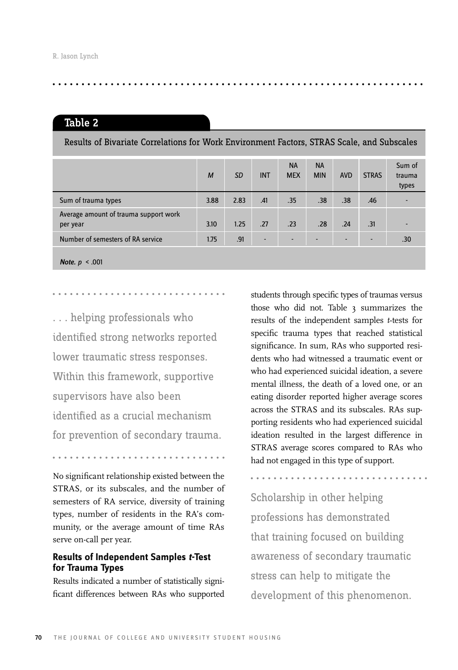### Table 2

Results of Bivariate Correlations for Work Environment Factors, STRAS Scale, and Subscales

|                                                   | M    | <b>SD</b> | <b>INT</b>               | <b>NA</b><br><b>MEX</b> | <b>NA</b><br><b>MIN</b> | <b>AVD</b>               | <b>STRAS</b> | Sum of<br>trauma<br>types |
|---------------------------------------------------|------|-----------|--------------------------|-------------------------|-------------------------|--------------------------|--------------|---------------------------|
| Sum of trauma types                               | 3.88 | 2.83      | .41                      | .35                     | .38                     | .38                      | .46          |                           |
| Average amount of trauma support work<br>per year | 3.10 | 1.25      | .27                      | .23                     | .28                     | .24                      | .31          |                           |
| Number of semesters of RA service                 | 1.75 | .91       | $\overline{\phantom{a}}$ |                         |                         | $\overline{\phantom{a}}$ |              | .30                       |
| Note, $p \le 0.001$                               |      |           |                          |                         |                         |                          |              |                           |

. . . helping professionals who identified strong networks reported lower traumatic stress responses. Within this framework, supportive

supervisors have also been identified as a crucial mechanism for prevention of secondary trauma.

No significant relationship existed between the STRAS, or its subscales, and the number of semesters of RA service, diversity of training types, number of residents in the RA's community, or the average amount of time RAs serve on-call per year.

#### **Results of Independent Samples** *t-***Test for Trauma Types**

Results indicated a number of statistically significant differences between RAs who supported

students through specific types of traumas versus those who did not. Table 3 summarizes the results of the independent samples *t*-tests for specific trauma types that reached statistical significance. In sum, RAs who supported residents who had witnessed a traumatic event or who had experienced suicidal ideation, a severe mental illness, the death of a loved one, or an eating disorder reported higher average scores across the STRAS and its subscales. RAs supporting residents who had experienced suicidal ideation resulted in the largest difference in STRAS average scores compared to RAs who had not engaged in this type of support.

Scholarship in other helping professions has demonstrated that training focused on building awareness of secondary traumatic stress can help to mitigate the development of this phenomenon.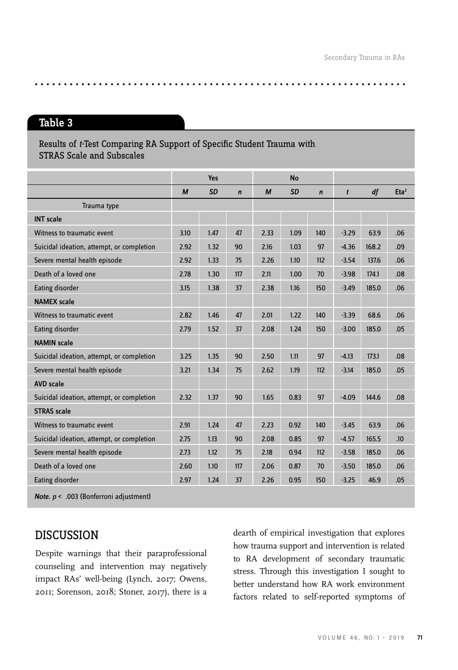$\frac{1}{2}$ 

# Table 3

Results of *t-*Test Comparing RA Support of Specific Student Trauma with STRAS Scale and Subscales

|                                           |      | <b>Yes</b> |             |                  | <b>No</b> |             |              |       |                     |
|-------------------------------------------|------|------------|-------------|------------------|-----------|-------------|--------------|-------|---------------------|
|                                           | M    | <b>SD</b>  | $\mathbf n$ | $\boldsymbol{M}$ | <b>SD</b> | $\mathbf n$ | $\mathbf{t}$ | df    | $E$ ta <sup>2</sup> |
| Trauma type                               |      |            |             |                  |           |             |              |       |                     |
| <b>INT</b> scale                          |      |            |             |                  |           |             |              |       |                     |
| Witness to traumatic event                | 3.10 | 1.47       | 47          | 2.33             | 1.09      | 140         | $-3.29$      | 63.9  | .06                 |
| Suicidal ideation, attempt, or completion | 2.92 | 1.32       | 90          | 2.16             | 1.03      | 97          | $-4.36$      | 168.2 | .09                 |
| Severe mental health episode              | 2.92 | 1.33       | 75          | 2.26             | 1.10      | 112         | $-3.54$      | 137.6 | .06                 |
| Death of a loved one                      | 2.78 | 1.30       | 117         | 2.11             | 1.00      | 70          | $-3.98$      | 174.1 | .08                 |
| Eating disorder                           | 3.15 | 1.38       | 37          | 2.38             | 1.16      | 150         | $-3.49$      | 185.0 | .06                 |
| <b>NAMEX</b> scale                        |      |            |             |                  |           |             |              |       |                     |
| Witness to traumatic event                | 2.82 | 1.46       | 47          | 2.01             | 1.22      | 140         | $-3.39$      | 68.6  | .06                 |
| Eating disorder                           | 2.79 | 1.52       | 37          | 2.08             | 1.24      | 150         | $-3.00$      | 185.0 | .05                 |
| <b>NAMIN</b> scale                        |      |            |             |                  |           |             |              |       |                     |
| Suicidal ideation, attempt, or completion | 3.25 | 1.35       | 90          | 2.50             | 1.11      | 97          | $-4.13$      | 173.1 | .08                 |
| Severe mental health episode              | 3.21 | 1.34       | 75          | 2.62             | 1.19      | 112         | $-3.14$      | 185.0 | .05                 |
| <b>AVD</b> scale                          |      |            |             |                  |           |             |              |       |                     |
| Suicidal ideation, attempt, or completion | 2.32 | 1.37       | 90          | 1.65             | 0.83      | 97          | $-4.09$      | 144.6 | .08                 |
| <b>STRAS</b> scale                        |      |            |             |                  |           |             |              |       |                     |
| Witness to traumatic event                | 2.91 | 1.24       | 47          | 2.23             | 0.92      | 140         | $-3.45$      | 63.9  | .06                 |
| Suicidal ideation, attempt, or completion | 2.75 | 1.13       | 90          | 2.08             | 0.85      | 97          | $-4.57$      | 165.5 | .10                 |
| Severe mental health episode              | 2.73 | 1.12       | 75          | 2.18             | 0.94      | 112         | $-3.58$      | 185.0 | .06                 |
| Death of a loved one                      | 2.60 | 1.10       | 117         | 2.06             | 0.87      | 70          | $-3.50$      | 185.0 | .06                 |
| Eating disorder                           | 2.97 | 1.24       | 37          | 2.26             | 0.95      | 150         | $-3.25$      | 46.9  | .05                 |

*Note. p* < .003 (Bonferroni adjustment)

# DISCUSSION

Despite warnings that their paraprofessional counseling and intervention may negatively impact RAs' well-being (Lynch, 2017; Owens, 2011; Sorenson, 2018; Stoner, 2017), there is a dearth of empirical investigation that explores how trauma support and intervention is related to RA development of secondary traumatic stress. Through this investigation I sought to better understand how RA work environment factors related to self-reported symptoms of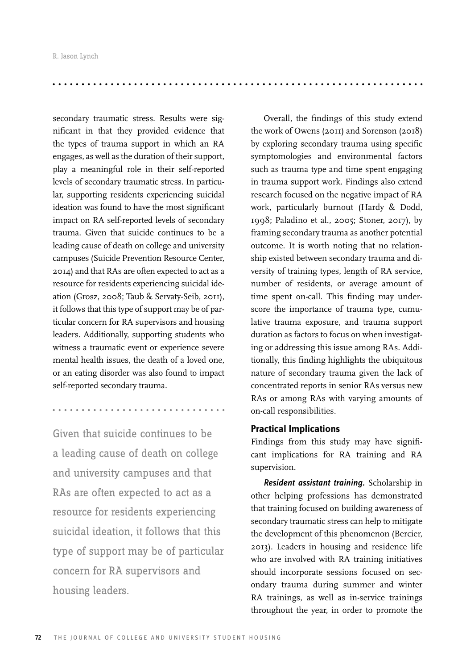secondary traumatic stress. Results were significant in that they provided evidence that the types of trauma support in which an RA engages, as well as the duration of their support, play a meaningful role in their self-reported levels of secondary traumatic stress. In particular, supporting residents experiencing suicidal ideation was found to have the most significant impact on RA self-reported levels of secondary trauma. Given that suicide continues to be a leading cause of death on college and university campuses (Suicide Prevention Resource Center, 2014) and that RAs are often expected to act as a resource for residents experiencing suicidal ideation (Grosz, 2008; Taub & Servaty-Seib, 2011), it follows that this type of support may be of particular concern for RA supervisors and housing leaders. Additionally, supporting students who witness a traumatic event or experience severe mental health issues, the death of a loved one, or an eating disorder was also found to impact self-reported secondary trauma.

Given that suicide continues to be a leading cause of death on college and university campuses and that RAs are often expected to act as a resource for residents experiencing suicidal ideation, it follows that this type of support may be of particular concern for RA supervisors and housing leaders.

Overall, the findings of this study extend the work of Owens (2011) and Sorenson (2018) by exploring secondary trauma using specific symptomologies and environmental factors such as trauma type and time spent engaging in trauma support work. Findings also extend research focused on the negative impact of RA work, particularly burnout (Hardy & Dodd, 1998; Paladino et al., 2005; Stoner, 2017), by framing secondary trauma as another potential outcome. It is worth noting that no relationship existed between secondary trauma and diversity of training types, length of RA service, number of residents, or average amount of time spent on-call. This finding may underscore the importance of trauma type, cumulative trauma exposure, and trauma support duration as factors to focus on when investigating or addressing this issue among RAs. Additionally, this finding highlights the ubiquitous nature of secondary trauma given the lack of concentrated reports in senior RAs versus new RAs or among RAs with varying amounts of on-call responsibilities.

#### **Practical Implications**

Findings from this study may have significant implications for RA training and RA supervision.

*Resident assistant training.* Scholarship in other helping professions has demonstrated that training focused on building awareness of secondary traumatic stress can help to mitigate the development of this phenomenon (Bercier, 2013). Leaders in housing and residence life who are involved with RA training initiatives should incorporate sessions focused on secondary trauma during summer and winter RA trainings, as well as in-service trainings throughout the year, in order to promote the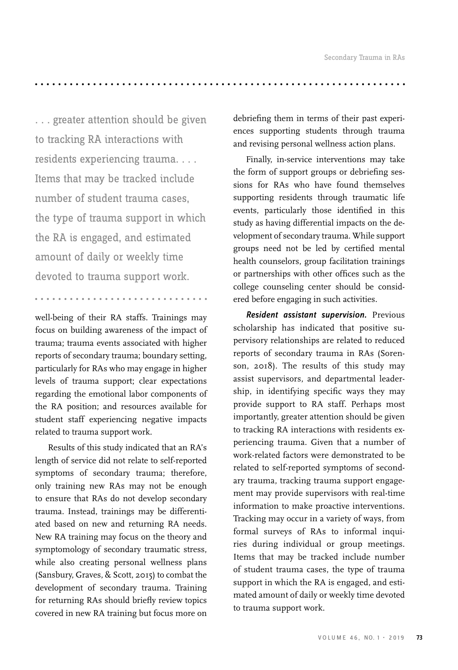. . . . .

. . . greater attention should be given to tracking RA interactions with residents experiencing trauma. . . . Items that may be tracked include number of student trauma cases, the type of trauma support in which the RA is engaged, and estimated amount of daily or weekly time devoted to trauma support work.

well-being of their RA staffs. Trainings may focus on building awareness of the impact of trauma; trauma events associated with higher reports of secondary trauma; boundary setting, particularly for RAs who may engage in higher levels of trauma support; clear expectations regarding the emotional labor components of the RA position; and resources available for student staff experiencing negative impacts related to trauma support work.

Results of this study indicated that an RA's length of service did not relate to self-reported symptoms of secondary trauma; therefore, only training new RAs may not be enough to ensure that RAs do not develop secondary trauma. Instead, trainings may be differentiated based on new and returning RA needs. New RA training may focus on the theory and symptomology of secondary traumatic stress, while also creating personal wellness plans (Sansbury, Graves, & Scott, 2015) to combat the development of secondary trauma. Training for returning RAs should briefly review topics covered in new RA training but focus more on

debriefing them in terms of their past experiences supporting students through trauma and revising personal wellness action plans.

Finally, in-service interventions may take the form of support groups or debriefing sessions for RAs who have found themselves supporting residents through traumatic life events, particularly those identified in this study as having differential impacts on the development of secondary trauma. While support groups need not be led by certified mental health counselors, group facilitation trainings or partnerships with other offices such as the college counseling center should be considered before engaging in such activities.

*Resident assistant supervision.* Previous scholarship has indicated that positive supervisory relationships are related to reduced reports of secondary trauma in RAs (Sorenson, 2018). The results of this study may assist supervisors, and departmental leadership, in identifying specific ways they may provide support to RA staff. Perhaps most importantly, greater attention should be given to tracking RA interactions with residents experiencing trauma. Given that a number of work-related factors were demonstrated to be related to self-reported symptoms of secondary trauma, tracking trauma support engagement may provide supervisors with real-time information to make proactive interventions. Tracking may occur in a variety of ways, from formal surveys of RAs to informal inquiries during individual or group meetings. Items that may be tracked include number of student trauma cases, the type of trauma support in which the RA is engaged, and estimated amount of daily or weekly time devoted to trauma support work.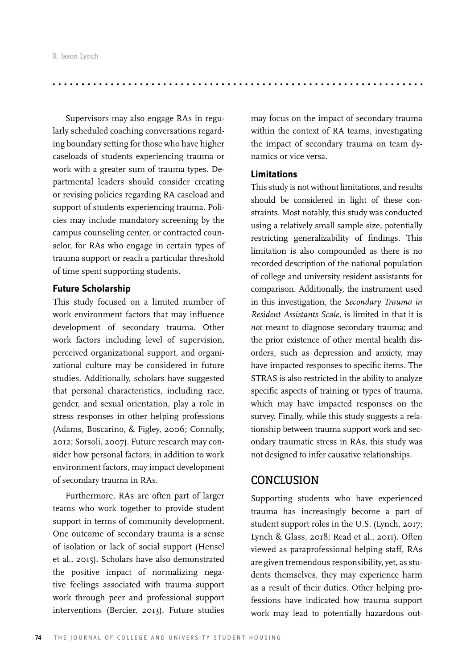Supervisors may also engage RAs in regularly scheduled coaching conversations regarding boundary setting for those who have higher caseloads of students experiencing trauma or work with a greater sum of trauma types. Departmental leaders should consider creating or revising policies regarding RA caseload and support of students experiencing trauma. Policies may include mandatory screening by the campus counseling center, or contracted counselor, for RAs who engage in certain types of trauma support or reach a particular threshold of time spent supporting students.

#### **Future Scholarship**

This study focused on a limited number of work environment factors that may influence development of secondary trauma. Other work factors including level of supervision, perceived organizational support, and organizational culture may be considered in future studies. Additionally, scholars have suggested that personal characteristics, including race, gender, and sexual orientation, play a role in stress responses in other helping professions (Adams, Boscarino, & Figley, 2006; Connally, 2012; Sorsoli, 2007). Future research may consider how personal factors, in addition to work environment factors, may impact development of secondary trauma in RAs.

Furthermore, RAs are often part of larger teams who work together to provide student support in terms of community development. One outcome of secondary trauma is a sense of isolation or lack of social support (Hensel et al., 2015). Scholars have also demonstrated the positive impact of normalizing negative feelings associated with trauma support work through peer and professional support interventions (Bercier, 2013). Future studies

may focus on the impact of secondary trauma within the context of RA teams, investigating the impact of secondary trauma on team dynamics or vice versa.

#### **Limitations**

This study is not without limitations, and results should be considered in light of these constraints. Most notably, this study was conducted using a relatively small sample size, potentially restricting generalizability of findings. This limitation is also compounded as there is no recorded description of the national population of college and university resident assistants for comparison. Additionally, the instrument used in this investigation, the *Secondary Trauma in Resident Assistants Scale*, is limited in that it is *not* meant to diagnose secondary trauma; and the prior existence of other mental health disorders, such as depression and anxiety, may have impacted responses to specific items. The STRAS is also restricted in the ability to analyze specific aspects of training or types of trauma, which may have impacted responses on the survey. Finally, while this study suggests a relationship between trauma support work and secondary traumatic stress in RAs, this study was not designed to infer causative relationships.

# **CONCLUSION**

Supporting students who have experienced trauma has increasingly become a part of student support roles in the U.S. (Lynch, 2017; Lynch & Glass, 2018; Read et al., 2011). Often viewed as paraprofessional helping staff, RAs are given tremendous responsibility, yet, as students themselves, they may experience harm as a result of their duties. Other helping professions have indicated how trauma support work may lead to potentially hazardous out-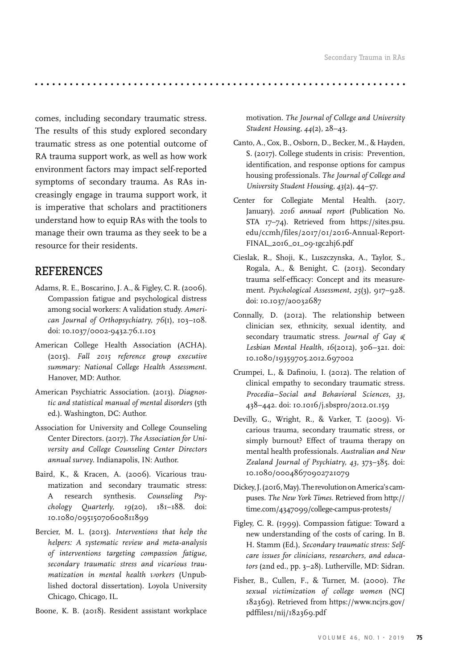comes, including secondary traumatic stress. The results of this study explored secondary traumatic stress as one potential outcome of RA trauma support work, as well as how work environment factors may impact self-reported symptoms of secondary trauma. As RAs increasingly engage in trauma support work, it is imperative that scholars and practitioners understand how to equip RAs with the tools to manage their own trauma as they seek to be a resource for their residents.

# REFERENCES

- Adams, R. E., Boscarino, J. A., & Figley, C. R. (2006). Compassion fatigue and psychological distress among social workers: A validation study. *American Journal of Orthopsychiatry, 76*(1), 103–108. doi: 10.1037/0002-9432.76.1.103
- American College Health Association (ACHA). (2015). *Fall 2015 reference group executive summary: National College Health Assessment.*  Hanover, MD: Author.
- American Psychiatric Association. (2013). *Diagnostic and statistical manual of mental disorders* (5th ed.). Washington, DC: Author.
- Association for University and College Counseling Center Directors. (2017). *The Association for University and College Counseling Center Directors annual survey.* Indianapolis, IN: Author.
- Baird, K., & Kracen, A. (2006). Vicarious traumatization and secondary traumatic stress: A research synthesis. *Counseling Psychology Quarterly, 19*(20), 181–188. doi: 10.1080/09515070600811899
- Bercier, M. L. (2013). *Interventions that help the helpers: A systematic review and meta-analysis of interventions targeting compassion fatigue, secondary traumatic stress and vicarious traumatization in mental health workers* (Unpublished doctoral dissertation). Loyola University Chicago, Chicago, IL.
- Boone, K. B. (2018). Resident assistant workplace

motivation. *The Journal of College and University Student Housing, 44*(2), 28–43.

- Canto, A., Cox, B., Osborn, D., Becker, M., & Hayden, S. (2017). College students in crisis: Prevention, identification, and response options for campus housing professionals. *The Journal of College and University Student Housing, 43*(2), 44–57.
- Center for Collegiate Mental Health. (2017, January). *2016 annual report* (Publication No. STA 17–74). Retrieved from https://sites.psu. edu/ccmh/files/2017/01/2016-Annual-Report-FINAL\_2016\_01\_09-1gc2hj6.pdf
- Cieslak, R., Shoji, K., Luszczynska, A., Taylor, S., Rogala, A., & Benight, C. (2013). Secondary trauma self-efficacy: Concept and its measurement. *Psychological Assessment, 25*(3), 917–928. doi: 10.1037/a0032687
- Connally, D. (2012). The relationship between clinician sex, ethnicity, sexual identity, and secondary traumatic stress. *Journal of Gay & Lesbian Mental Health, 16*(2012), 306–321. doi: 10.1080/19359705.2012.697002
- Crumpei, L., & Dafinoiu, I. (2012). The relation of clinical empathy to secondary traumatic stress. *Procedia–Social and Behavioral Sciences, 33,*  438–442. doi: 10.1016/j.sbspro/2012.01.159
- Devilly, G., Wright, R., & Varker, T. (2009). Vicarious trauma, secondary traumatic stress, or simply burnout? Effect of trauma therapy on mental health professionals. *Australian and New Zealand Journal of Psychiatry, 43,* 373–385. doi: 10.1080/00048670902721079
- Dickey, J. (2016, May). The revolution on America's campuses. *The New York Times.* Retrieved from http:// time.com/4347099/college-campus-protests/
- Figley, C. R. (1999). Compassion fatigue: Toward a new understanding of the costs of caring. In B. H. Stamm (Ed.), *Secondary traumatic stress: Selfcare issues for clinicians, researchers, and educators* (2nd ed., pp. 3–28). Lutherville, MD: Sidran.
- Fisher, B., Cullen, F., & Turner, M. (2000). *The sexual victimization of college women* (NCJ 182369). Retrieved from https://www.ncjrs.gov/ pdffiles1/nij/182369.pdf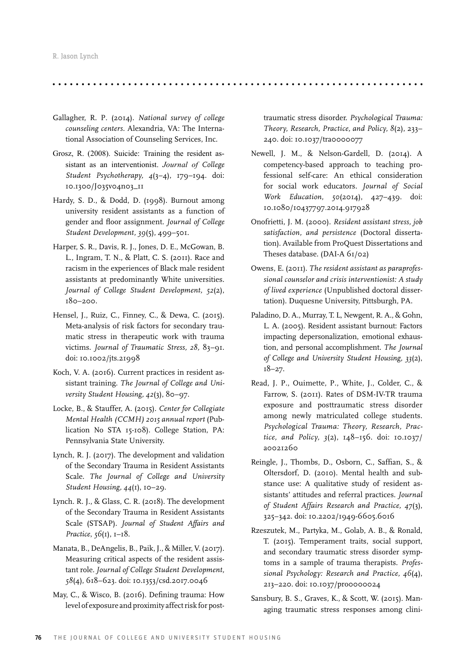- Gallagher, R. P. (2014). *National survey of college counseling centers.* Alexandria, VA: The International Association of Counseling Services, Inc.
- Grosz, R. (2008). Suicide: Training the resident assistant as an interventionist. *Journal of College Student Psychotherapy, 4*(3–4), 179–194. doi: 10.1300/J035v04n03\_11
- Hardy, S. D., & Dodd, D. (1998). Burnout among university resident assistants as a function of gender and floor assignment. *Journal of College Student Development, 39*(5), 499–501.
- Harper, S. R., Davis, R. J., Jones, D. E., McGowan, B. L., Ingram, T. N., & Platt, C. S. (2011). Race and racism in the experiences of Black male resident assistants at predominantly White universities*. Journal of College Student Development, 52*(2), 180–200.
- Hensel, J., Ruiz, C., Finney, C., & Dewa, C. (2015). Meta-analysis of risk factors for secondary traumatic stress in therapeutic work with trauma victims. *Journal of Traumatic Stress, 28,* 83–91. doi: 10.1002/jts.21998
- Koch, V. A. (2016). Current practices in resident assistant training. *The Journal of College and University Student Housing, 42*(3), 80–97.
- Locke, B., & Stauffer, A. (2015). *Center for Collegiate Mental Health (CCMH) 2015 annual report* (Publication No STA 15-108). College Station, PA: Pennsylvania State University.
- Lynch, R. J. (2017). The development and validation of the Secondary Trauma in Resident Assistants Scale. *The Journal of College and University Student Housing, 44*(1), 10–29.
- Lynch. R. J., & Glass, C. R. (2018). The development of the Secondary Trauma in Resident Assistants Scale (STSAP). *Journal of Student Affairs and Practice*, *56*(1), 1–18.
- Manata, B., DeAngelis, B., Paik, J., & Miller, V. (2017). Measuring critical aspects of the resident assistant role. *Journal of College Student Development, 58*(4), 618–623. doi: 10.1353/csd.2017.0046
- May, C., & Wisco, B. (2016). Defining trauma: How level of exposure and proximity affect risk for post-

traumatic stress disorder. *Psychological Trauma: Theory, Research, Practice, and Policy, 8*(2), 233– 240. doi: 10.1037/tra0000077

- Newell, J. M., & Nelson-Gardell, D. (2014). A competency-based approach to teaching professional self-care: An ethical consideration for social work educators. *Journal of Social Work Education, 50*(2014), 427–439. doi: 10.1080/10437797.2014.917928
- Onofrietti, J. M. (2000). *Resident assistant stress, job satisfaction, and persistence* (Doctoral dissertation). Available from ProQuest Dissertations and Theses database. (DAI-A 61/02)
- Owens, E. (2011). *The resident assistant as paraprofessional counselor and crisis interventionist: A study of lived experience* (Unpublished doctoral dissertation). Duquesne University, Pittsburgh, PA.
- Paladino, D. A., Murray, T. L, Newgent, R. A., & Gohn, L. A. (2005). Resident assistant burnout: Factors impacting depersonalization, emotional exhaustion, and personal accomplishment. *The Journal of College and University Student Housing, 33*(2), 18–27.
- Read, J. P., Ouimette, P., White, J., Colder, C., & Farrow, S. (2011). Rates of DSM-IV-TR trauma exposure and posttraumatic stress disorder among newly matriculated college students. *Psychological Trauma: Theory, Research, Practice, and Policy, 3*(2), 148–156. doi: 10.1037/ a0021260
- Reingle, J., Thombs, D., Osborn, C., Saffian, S., & Oltersdorf, D. (2010). Mental health and substance use: A qualitative study of resident assistants' attitudes and referral practices. *Journal of Student Affairs Research and Practice, 47*(3), 325–342. doi: 10.2202/1949-6605.6016
- Rzeszutek, M., Partyka, M., Golab, A. B., & Ronald, T. (2015). Temperament traits, social support, and secondary traumatic stress disorder symptoms in a sample of trauma therapists. *Professional Psychology: Research and Practice, 46*(4), 213–220. doi: 10.1037/pro0000024
- Sansbury, B. S., Graves, K., & Scott, W. (2015). Managing traumatic stress responses among clini-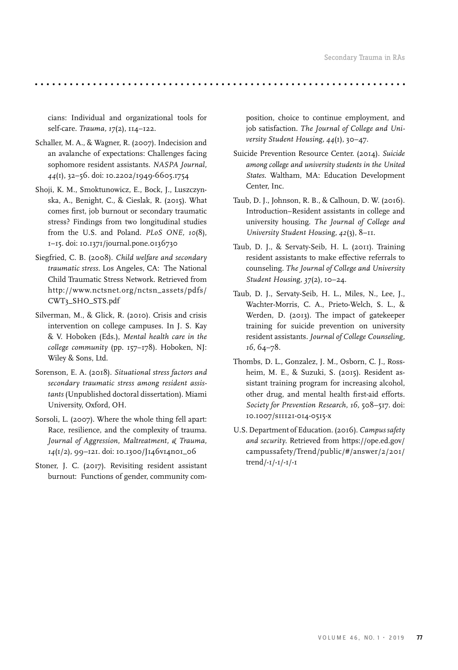cians: Individual and organizational tools for self-care. *Trauma, 17*(2), 114–122.

- Schaller, M. A., & Wagner, R. (2007). Indecision and an avalanche of expectations: Challenges facing sophomore resident assistants. *NASPA Journal, 44*(1), 32–56. doi: 10.2202/1949-6605.1754
- Shoji, K. M., Smoktunowicz, E., Bock, J., Luszczynska, A., Benight, C., & Cieslak, R. (2015). What comes first, job burnout or secondary traumatic stress? Findings from two longitudinal studies from the U.S. and Poland. *PLoS ONE, 10*(8), 1–15. doi: 10.1371/journal.pone.0136730
- Siegfried, C. B. (2008). *Child welfare and secondary traumatic stress.* Los Angeles, CA: The National Child Traumatic Stress Network. Retrieved from http://www.nctsnet.org/nctsn\_assets/pdfs/ CWT3\_SHO\_STS.pdf
- Silverman, M., & Glick, R. (2010). Crisis and crisis intervention on college campuses. In J. S. Kay & V. Hoboken (Eds.), *Mental health care in the college community* (pp. 157–178). Hoboken, NJ: Wiley & Sons, Ltd.
- Sorenson, E. A. (2018). *Situational stress factors and secondary traumatic stress among resident assistants* (Unpublished doctoral dissertation). Miami University, Oxford, OH.
- Sorsoli, L. (2007). Where the whole thing fell apart: Race, resilience, and the complexity of trauma. *Journal of Aggression, Maltreatment, & Trauma, 14*(1/2), 99–121. doi: 10.1300/J146v14n01\_06
- Stoner, J. C. (2017). Revisiting resident assistant burnout: Functions of gender, community com-

position, choice to continue employment, and job satisfaction. *The Journal of College and University Student Housing, 44*(1), 30–47.

- Suicide Prevention Resource Center. (2014). *Suicide among college and university students in the United States.* Waltham, MA: Education Development Center, Inc.
- Taub, D. J., Johnson, R. B., & Calhoun, D. W. (2016). Introduction–Resident assistants in college and university housing. *The Journal of College and University Student Housing, 42*(3), 8–11.
- Taub, D. J., & Servaty-Seib, H. L. (2011). Training resident assistants to make effective referrals to counseling. *The Journal of College and University Student Housing, 37*(2), 10–24.
- Taub, D. J., Servaty-Seib, H. L., Miles, N., Lee, J., Wachter-Morris, C. A., Prieto-Welch, S. L., & Werden, D. (2013). The impact of gatekeeper training for suicide prevention on university resident assistants. *Journal of College Counseling, 16,* 64–78.
- Thombs, D. L., Gonzalez, J. M., Osborn, C. J., Rossheim, M. E., & Suzuki, S. (2015). Resident assistant training program for increasing alcohol, other drug, and mental health first-aid efforts. *Society for Prevention Research, 16,* 508–517. doi: 10.1007/s11121-014-0515-x
- U.S. Department of Education. (2016). *Campus safety and security.* Retrieved from https://ope.ed.gov/ campussafety/Trend/public/#/answer/2/201/ trend/-1/-1/-1/-1